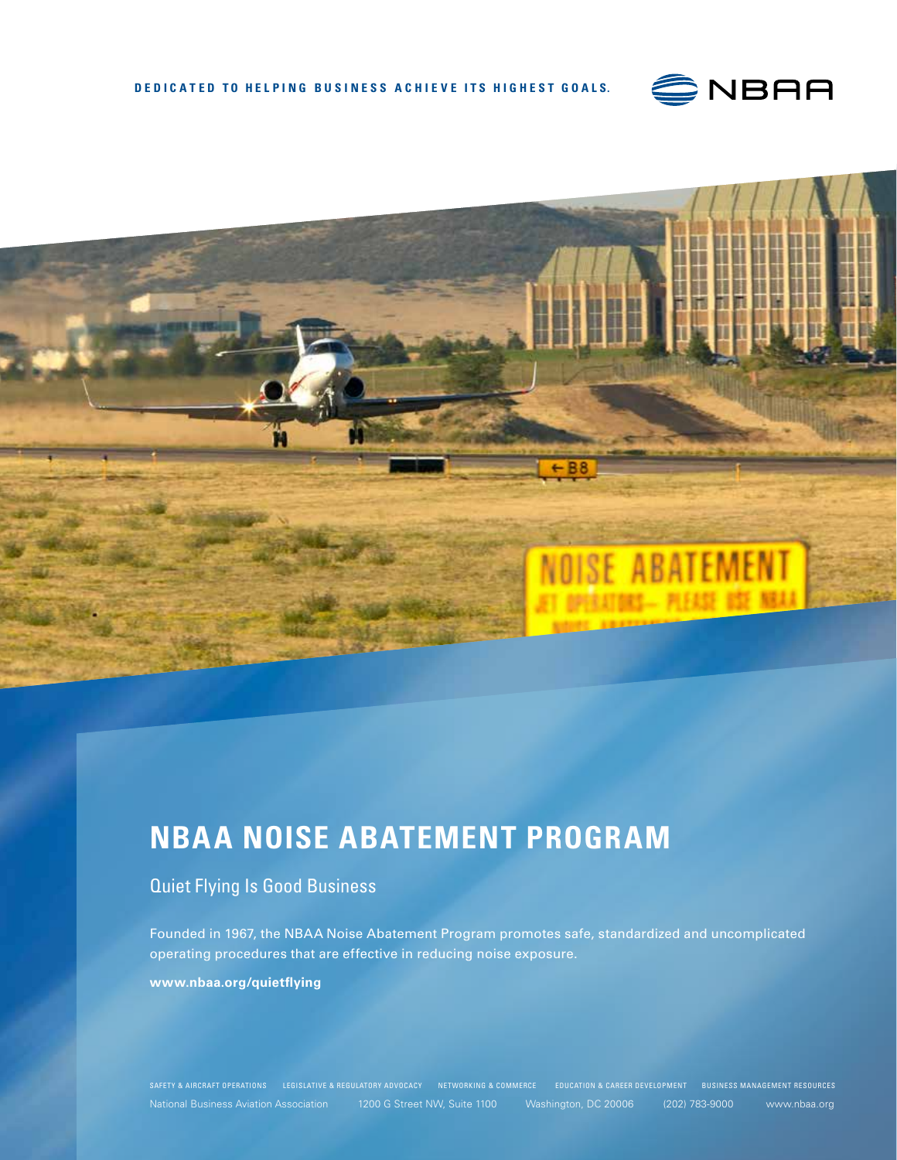



# **NBAA NOISE ABATEMENT PROGRAM**

### Quiet Flying Is Good Business

Founded in 1967, the NBAA Noise Abatement Program promotes safe, standardized and uncomplicated operating procedures that are effective in reducing noise exposure. **www.nbaa.org/quietflying**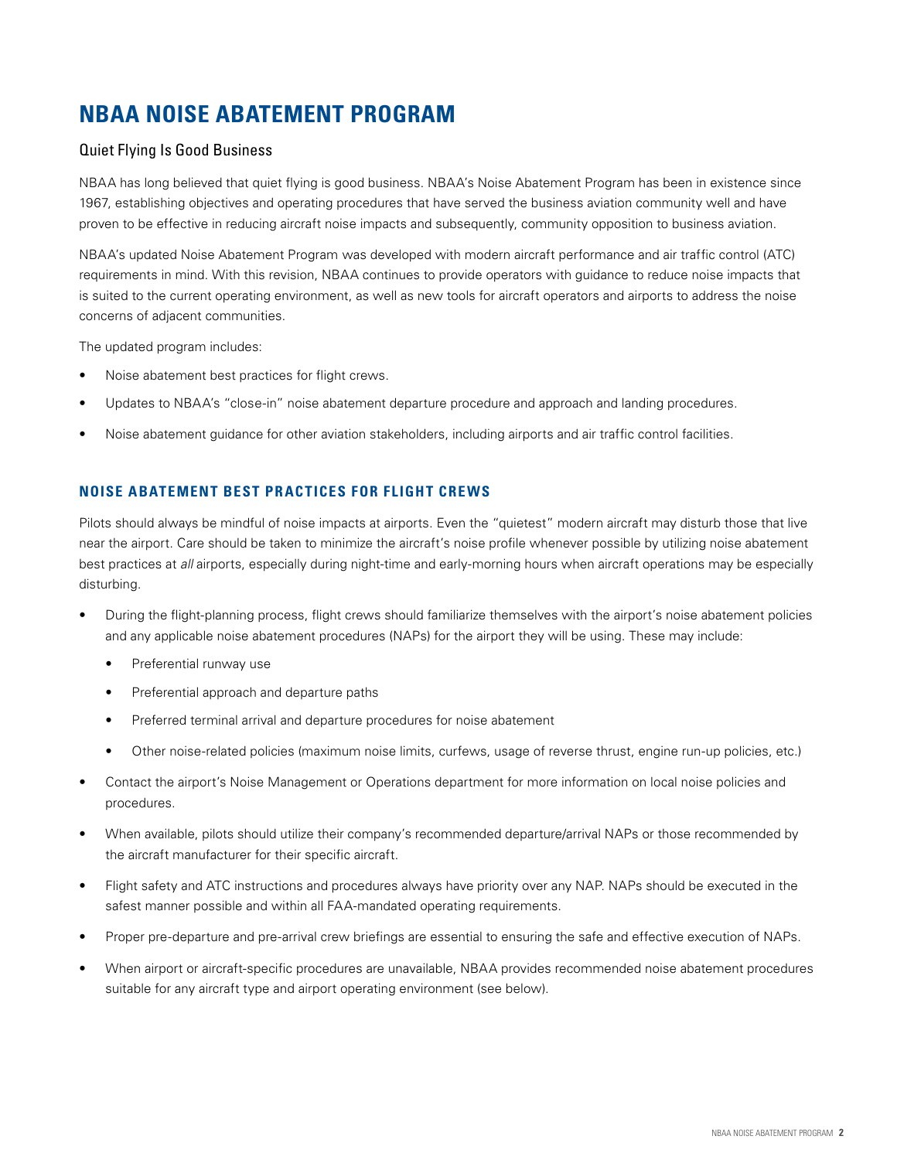## **NBAA NOISE ABATEMENT PROGRAM**

#### Quiet Flying Is Good Business

NBAA has long believed that quiet flying is good business. NBAA's Noise Abatement Program has been in existence since 1967, establishing objectives and operating procedures that have served the business aviation community well and have proven to be effective in reducing aircraft noise impacts and subsequently, community opposition to business aviation.

NBAA's updated Noise Abatement Program was developed with modern aircraft performance and air traffic control (ATC) requirements in mind. With this revision, NBAA continues to provide operators with guidance to reduce noise impacts that is suited to the current operating environment, as well as new tools for aircraft operators and airports to address the noise concerns of adjacent communities.

The updated program includes:

- Noise abatement best practices for flight crews.
- Updates to NBAA's "close-in" noise abatement departure procedure and approach and landing procedures.
- Noise abatement guidance for other aviation stakeholders, including airports and air traffic control facilities.

#### **NOISE ABATEMENT BEST PRACTICES FOR FLIGHT CREWS**

Pilots should always be mindful of noise impacts at airports. Even the "quietest" modern aircraft may disturb those that live near the airport. Care should be taken to minimize the aircraft's noise profile whenever possible by utilizing noise abatement best practices at *all* airports, especially during night-time and early-morning hours when aircraft operations may be especially disturbing.

- During the flight-planning process, flight crews should familiarize themselves with the airport's noise abatement policies and any applicable noise abatement procedures (NAPs) for the airport they will be using. These may include:
	- Preferential runway use
	- Preferential approach and departure paths
	- Preferred terminal arrival and departure procedures for noise abatement
	- Other noise-related policies (maximum noise limits, curfews, usage of reverse thrust, engine run-up policies, etc.)
- Contact the airport's Noise Management or Operations department for more information on local noise policies and procedures.
- When available, pilots should utilize their company's recommended departure/arrival NAPs or those recommended by the aircraft manufacturer for their specific aircraft.
- Flight safety and ATC instructions and procedures always have priority over any NAP. NAPs should be executed in the safest manner possible and within all FAA-mandated operating requirements.
- Proper pre-departure and pre-arrival crew briefings are essential to ensuring the safe and effective execution of NAPs.
- When airport or aircraft-specific procedures are unavailable, NBAA provides recommended noise abatement procedures suitable for any aircraft type and airport operating environment (see below).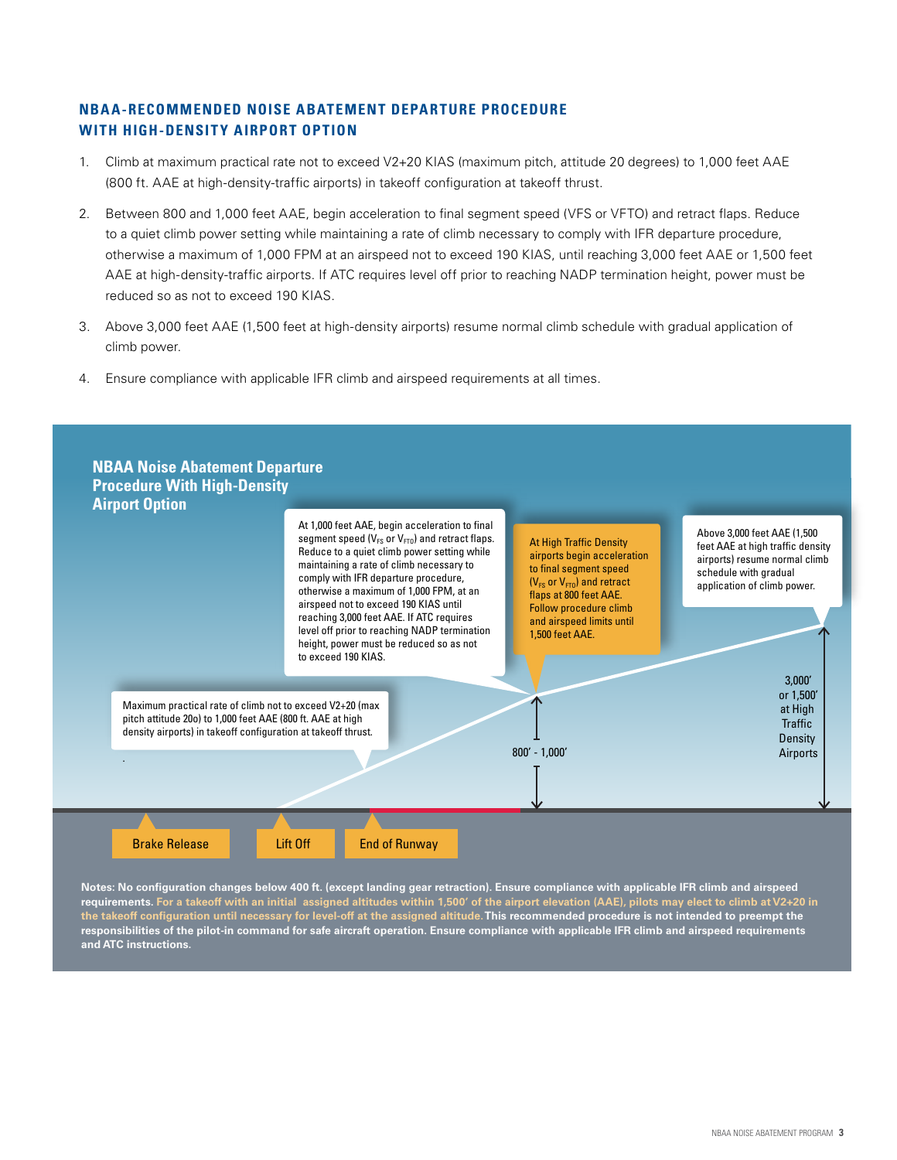#### **NBAA-RECOMMENDED NOISE ABATEMENT DEPARTURE PROCEDURE WITH HIGH-DENSITY AIRPORT OPTION**

- 1. Climb at maximum practical rate not to exceed V2+20 KIAS (maximum pitch, attitude 20 degrees) to 1,000 feet AAE (800 ft. AAE at high-density-traffic airports) in takeoff configuration at takeoff thrust.
- 2. Between 800 and 1,000 feet AAE, begin acceleration to final segment speed (VFS or VFTO) and retract flaps. Reduce to a quiet climb power setting while maintaining a rate of climb necessary to comply with IFR departure procedure, otherwise a maximum of 1,000 FPM at an airspeed not to exceed 190 KIAS, until reaching 3,000 feet AAE or 1,500 feet AAE at high-density-traffic airports. If ATC requires level off prior to reaching NADP termination height, power must be reduced so as not to exceed 190 KIAS.
- 3. Above 3,000 feet AAE (1,500 feet at high-density airports) resume normal climb schedule with gradual application of climb power.
- 4. Ensure compliance with applicable IFR climb and airspeed requirements at all times.



**Notes: No configuration changes below 400 ft. (except landing gear retraction). Ensure compliance with applicable IFR climb and airspeed requirements. For a takeoff with an initial assigned altitudes within 1,500' of the airport elevation (AAE), pilots may elect to climb at V2+20 in the takeoff configuration until necessary for level-off at the assigned altitude. This recommended procedure is not intended to preempt the responsibilities of the pilot-in command for safe aircraft operation. Ensure compliance with applicable IFR climb and airspeed requirements and ATC instructions.**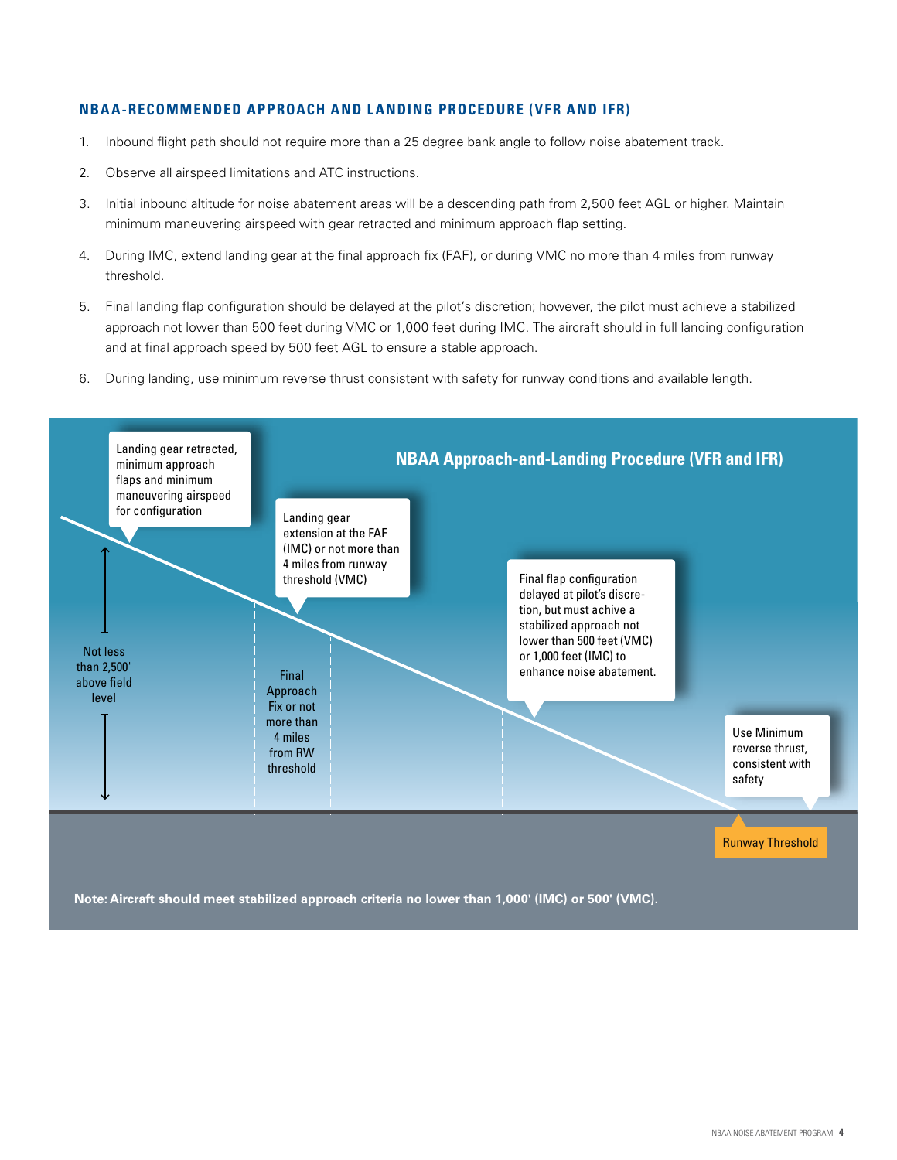#### **NBAA-RECOMMENDED APPROACH AND LANDING PROCEDURE (VFR AND IFR)**

- 1. Inbound flight path should not require more than a 25 degree bank angle to follow noise abatement track.
- 2. Observe all airspeed limitations and ATC instructions.
- 3. Initial inbound altitude for noise abatement areas will be a descending path from 2,500 feet AGL or higher. Maintain minimum maneuvering airspeed with gear retracted and minimum approach flap setting.
- 4. During IMC, extend landing gear at the final approach fix (FAF), or during VMC no more than 4 miles from runway threshold.
- 5. Final landing flap configuration should be delayed at the pilot's discretion; however, the pilot must achieve a stabilized approach not lower than 500 feet during VMC or 1,000 feet during IMC. The aircraft should in full landing configuration and at final approach speed by 500 feet AGL to ensure a stable approach.
- 6. During landing, use minimum reverse thrust consistent with safety for runway conditions and available length.



**Note: Aircraft should meet stabilized approach criteria no lower than 1,000' (IMC) or 500' (VMC).**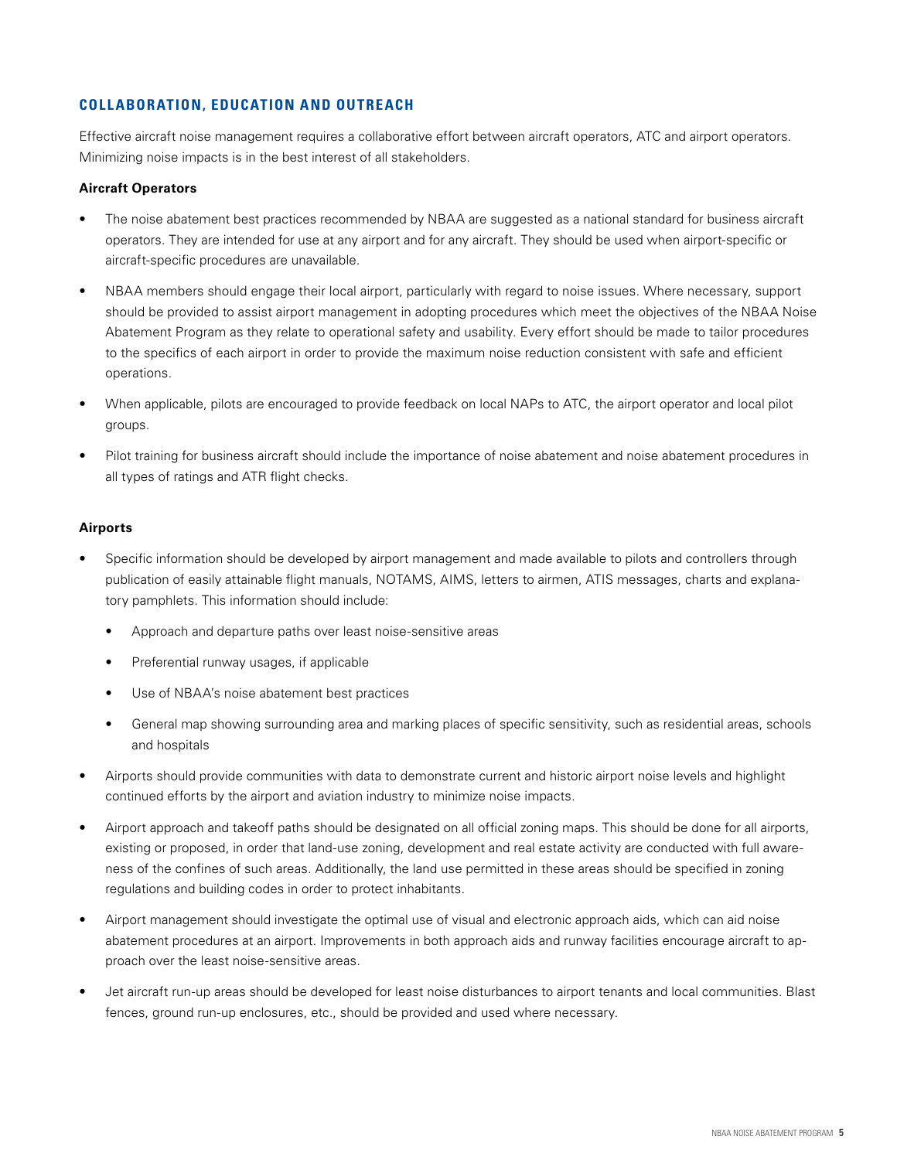#### **COLLABORATION, EDUCATION AND OUTREACH**

Effective aircraft noise management requires a collaborative effort between aircraft operators, ATC and airport operators. Minimizing noise impacts is in the best interest of all stakeholders.

#### **Aircraft Operators**

- The noise abatement best practices recommended by NBAA are suggested as a national standard for business aircraft operators. They are intended for use at any airport and for any aircraft. They should be used when airport-specific or aircraft-specific procedures are unavailable.
- NBAA members should engage their local airport, particularly with regard to noise issues. Where necessary, support should be provided to assist airport management in adopting procedures which meet the objectives of the NBAA Noise Abatement Program as they relate to operational safety and usability. Every effort should be made to tailor procedures to the specifics of each airport in order to provide the maximum noise reduction consistent with safe and efficient operations.
- When applicable, pilots are encouraged to provide feedback on local NAPs to ATC, the airport operator and local pilot groups.
- Pilot training for business aircraft should include the importance of noise abatement and noise abatement procedures in all types of ratings and ATR flight checks.

#### **Airports**

- Specific information should be developed by airport management and made available to pilots and controllers through publication of easily attainable flight manuals, NOTAMS, AIMS, letters to airmen, ATIS messages, charts and explanatory pamphlets. This information should include:
	- Approach and departure paths over least noise-sensitive areas
	- Preferential runway usages, if applicable
	- Use of NBAA's noise abatement best practices
	- General map showing surrounding area and marking places of specific sensitivity, such as residential areas, schools and hospitals
- Airports should provide communities with data to demonstrate current and historic airport noise levels and highlight continued efforts by the airport and aviation industry to minimize noise impacts.
- Airport approach and takeoff paths should be designated on all official zoning maps. This should be done for all airports, existing or proposed, in order that land-use zoning, development and real estate activity are conducted with full awareness of the confines of such areas. Additionally, the land use permitted in these areas should be specified in zoning regulations and building codes in order to protect inhabitants.
- Airport management should investigate the optimal use of visual and electronic approach aids, which can aid noise abatement procedures at an airport. Improvements in both approach aids and runway facilities encourage aircraft to approach over the least noise-sensitive areas.
- Jet aircraft run-up areas should be developed for least noise disturbances to airport tenants and local communities. Blast fences, ground run-up enclosures, etc., should be provided and used where necessary.